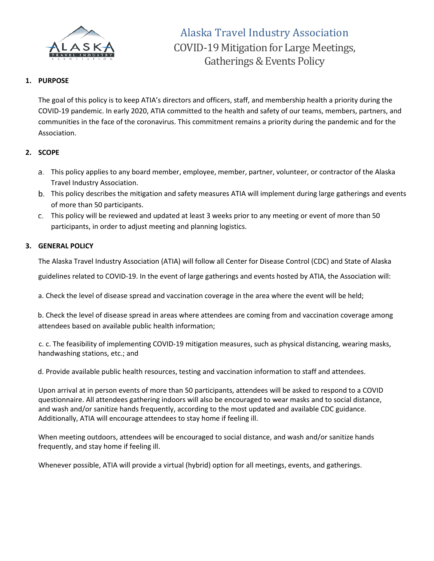

## **1. PURPOSE**

The goal of this policy is to keep ATIA's directors and officers, staff, and membership health a priority during the COVID-19 pandemic. In early 2020, ATIA committed to the health and safety of our teams, members, partners, and communities in the face of the coronavirus. This commitment remains a priority during the pandemic and for the Association.

## **2. SCOPE**

- This policy applies to any board member, employee, member, partner, volunteer, or contractor of the Alaska Travel Industry Association.
- This policy describes the mitigation and safety measures ATIA will implement during large gatherings and events of more than 50 participants.
- This policy will be reviewed and updated at least 3 weeks prior to any meeting or event of more than 50 participants, in order to adjust meeting and planning logistics.

## **3. GENERAL POLICY**

The Alaska Travel Industry Association (ATIA) will follow all Center for Disease Control (CDC) and State of Alaska guidelines related to COVID-19. In the event of large gatherings and events hosted by ATIA, the Association will:

a. Check the level of disease spread and vaccination coverage in the area where the event will be held;

b. Check the level of disease spread in areas where attendees are coming from and vaccination coverage among attendees based on available public health information;

c. c. The feasibility of implementing COVID-19 mitigation measures, such as physical distancing, wearing masks, handwashing stations, etc.; and

d. Provide available public health resources, testing and vaccination information to staff and attendees.

Upon arrival at in person events of more than 50 participants, attendees will be asked to respond to a COVID questionnaire. All attendees gathering indoors will also be encouraged to wear masks and to social distance, and wash and/or sanitize hands frequently, according to the most updated and available CDC guidance. Additionally, ATIA will encourage attendees to stay home if feeling ill.

When meeting outdoors, attendees will be encouraged to social distance, and wash and/or sanitize hands frequently, and stay home if feeling ill.

Whenever possible, ATIA will provide a virtual (hybrid) option for all meetings, events, and gatherings.